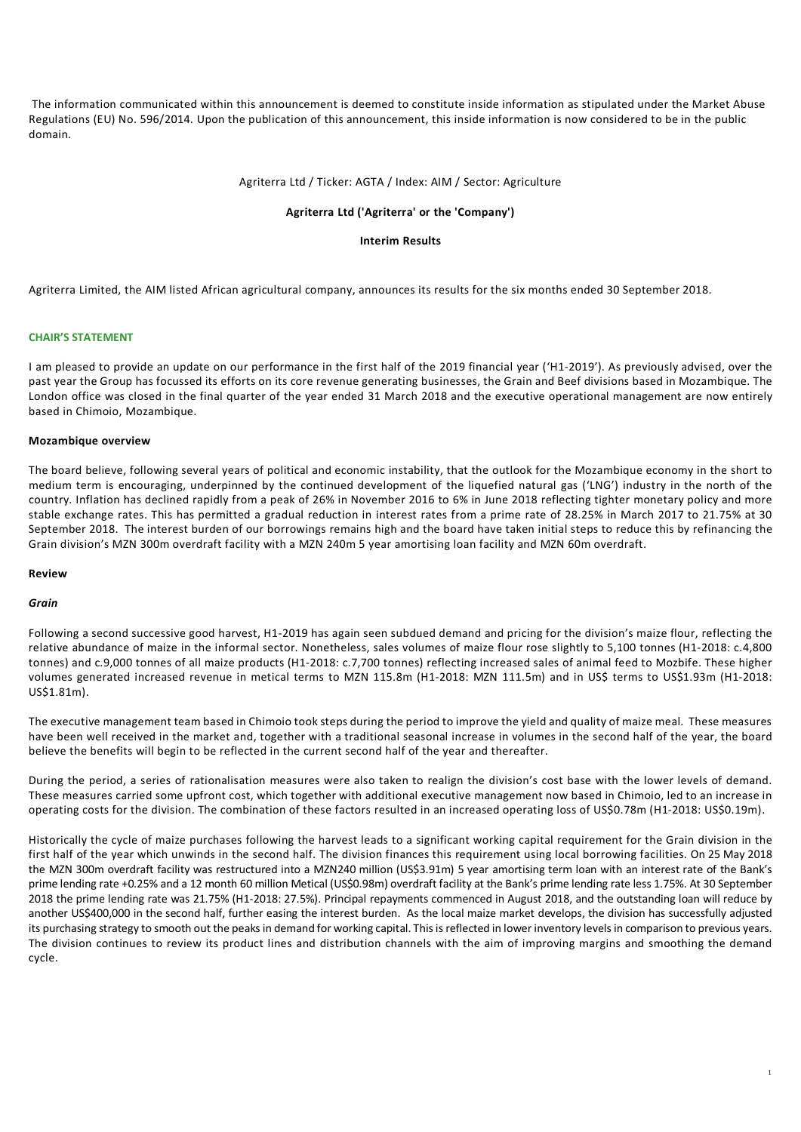The information communicated within this announcement is deemed to constitute inside information as stipulated under the Market Abuse Regulations (EU) No. 596/2014. Upon the publication of this announcement, this inside information is now considered to be in the public domain.

### Agriterra Ltd / Ticker: AGTA / Index: AIM / Sector: Agriculture

### **Agriterra Ltd ('Agriterra' or the 'Company')**

### **Interim Results**

Agriterra Limited, the AIM listed African agricultural company, announces its results for the six months ended 30 September 2018.

### **CHAIR'S STATEMENT**

I am pleased to provide an update on our performance in the first half of the 2019 financial year ('H1-2019'). As previously advised, over the past year the Group has focussed its efforts on its core revenue generating businesses, the Grain and Beef divisions based in Mozambique. The London office was closed in the final quarter of the year ended 31 March 2018 and the executive operational management are now entirely based in Chimoio, Mozambique.

#### **Mozambique overview**

The board believe, following several years of political and economic instability, that the outlook for the Mozambique economy in the short to medium term is encouraging, underpinned by the continued development of the liquefied natural gas ('LNG') industry in the north of the country. Inflation has declined rapidly from a peak of 26% in November 2016 to 6% in June 2018 reflecting tighter monetary policy and more stable exchange rates. This has permitted a gradual reduction in interest rates from a prime rate of 28.25% in March 2017 to 21.75% at 30 September 2018. The interest burden of our borrowings remains high and the board have taken initial steps to reduce this by refinancing the Grain division's MZN 300m overdraft facility with a MZN 240m 5 year amortising loan facility and MZN 60m overdraft.

## **Review**

### *Grain*

Following a second successive good harvest, H1-2019 has again seen subdued demand and pricing for the division's maize flour, reflecting the relative abundance of maize in the informal sector. Nonetheless, sales volumes of maize flour rose slightly to 5,100 tonnes (H1-2018: c.4,800 tonnes) and c.9,000 tonnes of all maize products (H1-2018: c.7,700 tonnes) reflecting increased sales of animal feed to Mozbife. These higher volumes generated increased revenue in metical terms to MZN 115.8m (H1-2018: MZN 111.5m) and in US\$ terms to US\$1.93m (H1-2018: US\$1.81m).

The executive management team based in Chimoio took steps during the period to improve the yield and quality of maize meal. These measures have been well received in the market and, together with a traditional seasonal increase in volumes in the second half of the year, the board believe the benefits will begin to be reflected in the current second half of the year and thereafter.

During the period, a series of rationalisation measures were also taken to realign the division's cost base with the lower levels of demand. These measures carried some upfront cost, which together with additional executive management now based in Chimoio, led to an increase in operating costs for the division. The combination of these factors resulted in an increased operating loss of US\$0.78m (H1-2018: US\$0.19m).

Historically the cycle of maize purchases following the harvest leads to a significant working capital requirement for the Grain division in the first half of the year which unwinds in the second half. The division finances this requirement using local borrowing facilities. On 25 May 2018 the MZN 300m overdraft facility was restructured into a MZN240 million (US\$3.91m) 5 year amortising term loan with an interest rate of the Bank's prime lending rate +0.25% and a 12 month 60 million Metical (US\$0.98m) overdraft facility at the Bank's prime lending rate less 1.75%. At 30 September 2018 the prime lending rate was 21.75% (H1-2018: 27.5%). Principal repayments commenced in August 2018, and the outstanding loan will reduce by another US\$400,000 in the second half, further easing the interest burden. As the local maize market develops, the division has successfully adjusted its purchasing strategy to smooth out the peaks in demand for working capital. This is reflected in lower inventory levels in comparison to previous years. The division continues to review its product lines and distribution channels with the aim of improving margins and smoothing the demand cycle.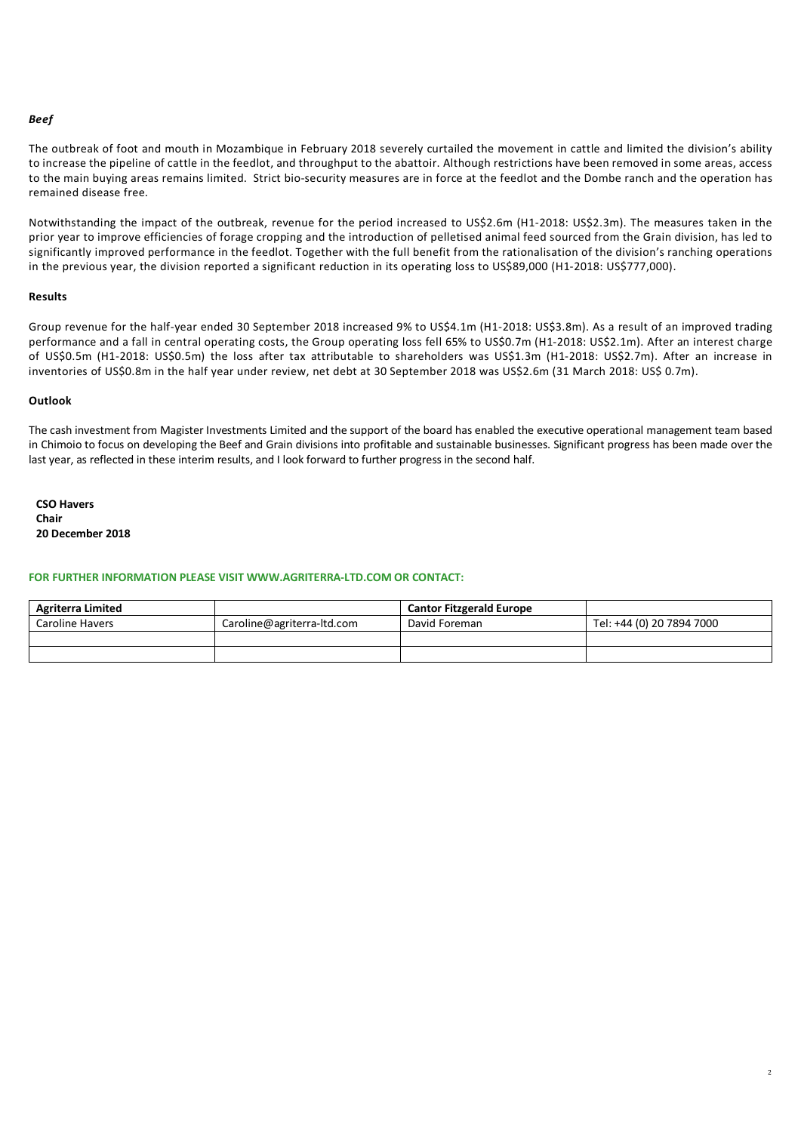## *Beef*

The outbreak of foot and mouth in Mozambique in February 2018 severely curtailed the movement in cattle and limited the division's ability to increase the pipeline of cattle in the feedlot, and throughput to the abattoir. Although restrictions have been removed in some areas, access to the main buying areas remains limited. Strict bio-security measures are in force at the feedlot and the Dombe ranch and the operation has remained disease free.

Notwithstanding the impact of the outbreak, revenue for the period increased to US\$2.6m (H1-2018: US\$2.3m). The measures taken in the prior year to improve efficiencies of forage cropping and the introduction of pelletised animal feed sourced from the Grain division, has led to significantly improved performance in the feedlot. Together with the full benefit from the rationalisation of the division's ranching operations in the previous year, the division reported a significant reduction in its operating loss to US\$89,000 (H1-2018: US\$777,000).

## **Results**

Group revenue for the half-year ended 30 September 2018 increased 9% to US\$4.1m (H1-2018: US\$3.8m). As a result of an improved trading performance and a fall in central operating costs, the Group operating loss fell 65% to US\$0.7m (H1-2018: US\$2.1m). After an interest charge of US\$0.5m (H1-2018: US\$0.5m) the loss after tax attributable to shareholders was US\$1.3m (H1-2018: US\$2.7m). After an increase in inventories of US\$0.8m in the half year under review, net debt at 30 September 2018 was US\$2.6m (31 March 2018: US\$ 0.7m).

### **Outlook**

The cash investment from Magister Investments Limited and the support of the board has enabled the executive operational management team based in Chimoio to focus on developing the Beef and Grain divisions into profitable and sustainable businesses. Significant progress has been made over the last year, as reflected in these interim results, and I look forward to further progress in the second half.

**CSO Havers Chair 20 December 2018**

## **FOR FURTHER INFORMATION PLEASE VISIT WWW.AGRITERRA-LTD.COM OR CONTACT:**

| <b>Agriterra Limited</b> |                            | <b>Cantor Fitzgerald Europe</b> |                           |
|--------------------------|----------------------------|---------------------------------|---------------------------|
| Caroline Havers          | Caroline@agriterra-ltd.com | David Foreman                   | Tel: +44 (0) 20 7894 7000 |
|                          |                            |                                 |                           |
|                          |                            |                                 |                           |

2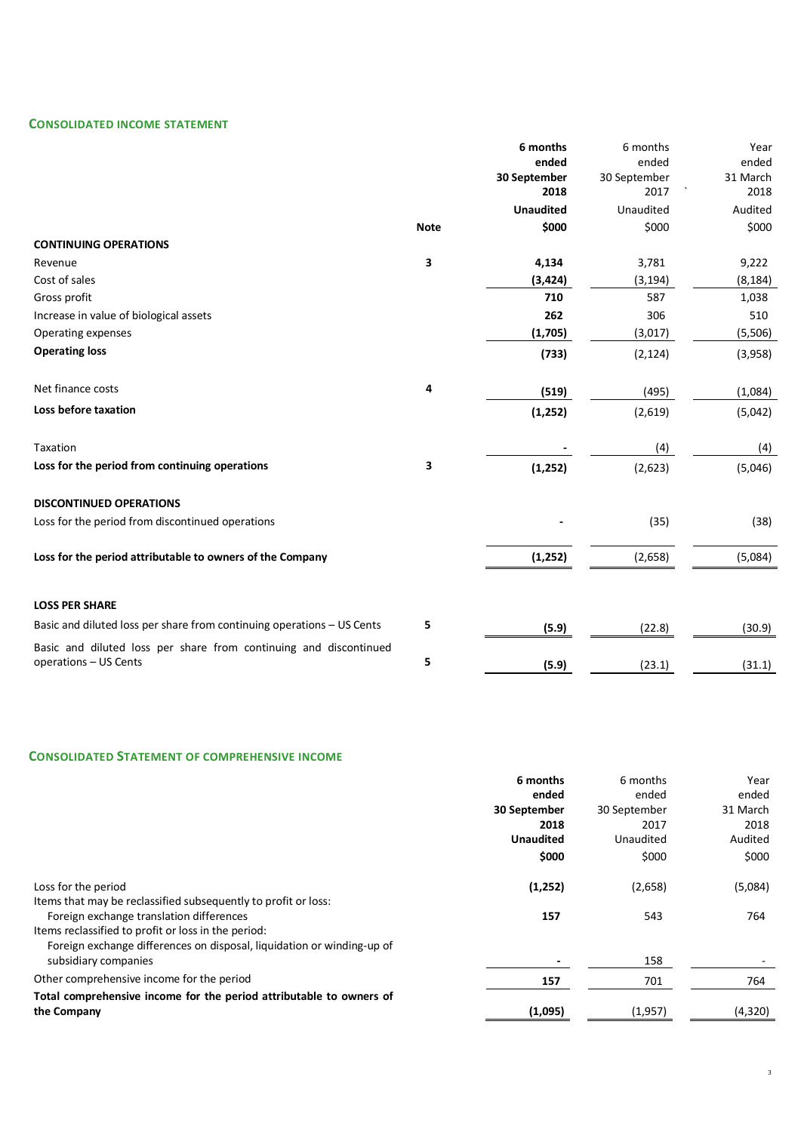# **CONSOLIDATED INCOME STATEMENT**

|                                                                                            |             | 6 months         | 6 months     | Year     |
|--------------------------------------------------------------------------------------------|-------------|------------------|--------------|----------|
|                                                                                            |             | ended            | ended        | ended    |
|                                                                                            |             | 30 September     | 30 September | 31 March |
|                                                                                            |             | 2018             | 2017         | 2018     |
|                                                                                            |             | <b>Unaudited</b> | Unaudited    | Audited  |
|                                                                                            | <b>Note</b> | \$000            | \$000        | \$000    |
| <b>CONTINUING OPERATIONS</b>                                                               |             |                  |              |          |
| Revenue                                                                                    | 3           | 4,134            | 3,781        | 9,222    |
| Cost of sales                                                                              |             | (3, 424)         | (3, 194)     | (8, 184) |
| Gross profit                                                                               |             | 710              | 587          | 1,038    |
| Increase in value of biological assets                                                     |             | 262              | 306          | 510      |
| Operating expenses                                                                         |             | (1,705)          | (3,017)      | (5,506)  |
| <b>Operating loss</b>                                                                      |             | (733)            | (2, 124)     | (3,958)  |
| Net finance costs                                                                          | 4           | (519)            | (495)        | (1,084)  |
| Loss before taxation                                                                       |             | (1, 252)         | (2,619)      | (5,042)  |
| Taxation                                                                                   |             |                  | (4)          | (4)      |
| Loss for the period from continuing operations                                             | 3           | (1, 252)         | (2,623)      | (5,046)  |
| <b>DISCONTINUED OPERATIONS</b>                                                             |             |                  |              |          |
| Loss for the period from discontinued operations                                           |             |                  | (35)         | (38)     |
| Loss for the period attributable to owners of the Company                                  |             | (1, 252)         | (2,658)      | (5,084)  |
| <b>LOSS PER SHARE</b>                                                                      |             |                  |              |          |
| Basic and diluted loss per share from continuing operations - US Cents                     | 5           | (5.9)            | (22.8)       | (30.9)   |
| Basic and diluted loss per share from continuing and discontinued<br>operations - US Cents | 5           | (5.9)            | (23.1)       | (31.1)   |

## **CONSOLIDATED STATEMENT OF COMPREHENSIVE INCOME**

|                                                                        | 6 months         | 6 months     | Year     |
|------------------------------------------------------------------------|------------------|--------------|----------|
|                                                                        | ended            | ended        | ended    |
|                                                                        | 30 September     | 30 September | 31 March |
|                                                                        | 2018             | 2017         | 2018     |
|                                                                        | <b>Unaudited</b> | Unaudited    | Audited  |
|                                                                        | \$000            | \$000        | \$000    |
| Loss for the period                                                    | (1,252)          | (2,658)      | (5,084)  |
| Items that may be reclassified subsequently to profit or loss:         |                  |              |          |
| Foreign exchange translation differences                               | 157              | 543          | 764      |
| Items reclassified to profit or loss in the period:                    |                  |              |          |
| Foreign exchange differences on disposal, liquidation or winding-up of |                  |              |          |
| subsidiary companies                                                   |                  | 158          |          |
| Other comprehensive income for the period                              | 157              | 701          | 764      |
| Total comprehensive income for the period attributable to owners of    |                  |              |          |
| the Company                                                            | (1,095)          | (1,957)      | (4,320)  |
|                                                                        |                  |              |          |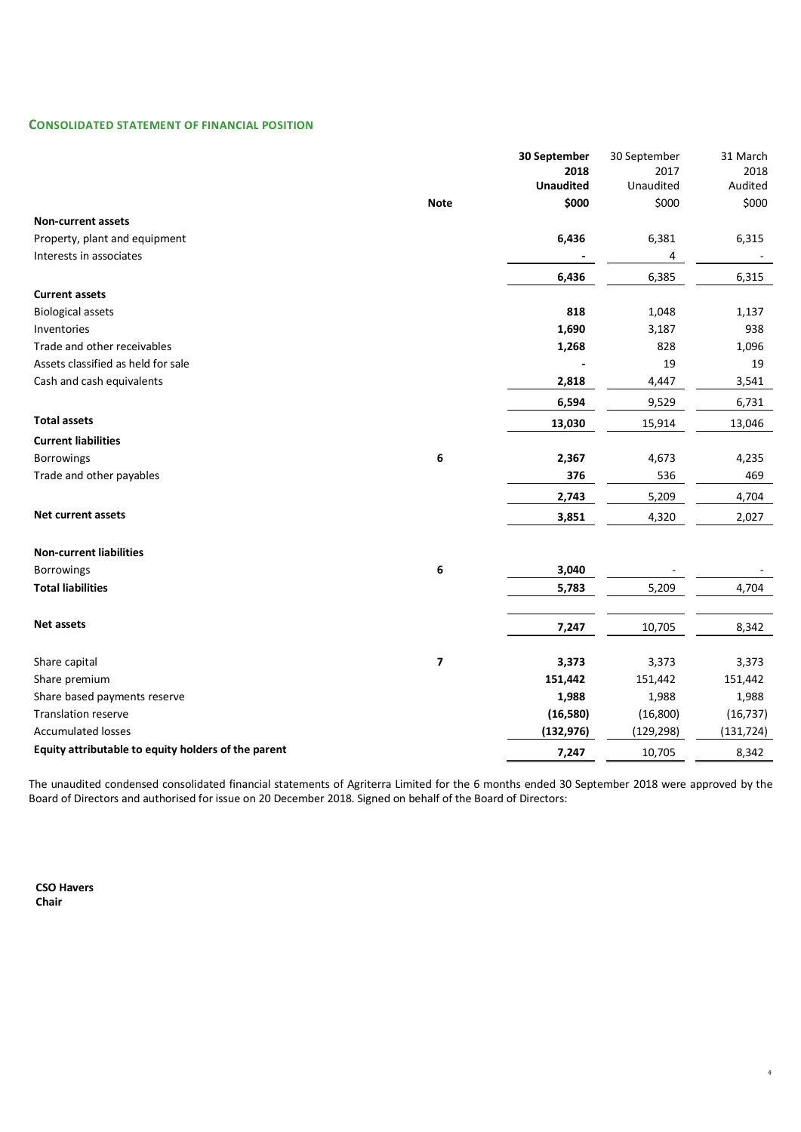## **CONSOLIDATED STATEMENT OF FINANCIAL POSITION**

|                                                     |                         | 30 September             | 30 September      | 31 March        |
|-----------------------------------------------------|-------------------------|--------------------------|-------------------|-----------------|
|                                                     |                         | 2018<br><b>Unaudited</b> | 2017<br>Unaudited | 2018<br>Audited |
|                                                     | <b>Note</b>             | \$000                    | \$000             | \$000           |
| <b>Non-current assets</b>                           |                         |                          |                   |                 |
| Property, plant and equipment                       |                         | 6,436                    | 6,381             | 6,315           |
| Interests in associates                             |                         |                          | 4                 |                 |
|                                                     |                         | 6,436                    | 6,385             | 6,315           |
| <b>Current assets</b>                               |                         |                          |                   |                 |
| <b>Biological assets</b>                            |                         | 818                      | 1,048             | 1,137           |
| Inventories                                         |                         | 1,690                    | 3,187             | 938             |
| Trade and other receivables                         |                         | 1,268                    | 828               | 1,096           |
| Assets classified as held for sale                  |                         |                          | 19                | 19              |
| Cash and cash equivalents                           |                         | 2,818                    | 4,447             | 3,541           |
|                                                     |                         | 6,594                    | 9,529             | 6,731           |
| <b>Total assets</b>                                 |                         | 13,030                   | 15,914            | 13,046          |
| <b>Current liabilities</b>                          |                         |                          |                   |                 |
| Borrowings                                          | 6                       | 2,367                    | 4,673             | 4,235           |
| Trade and other payables                            |                         | 376                      | 536               | 469             |
|                                                     |                         | 2,743                    | 5,209             | 4,704           |
| Net current assets                                  |                         | 3,851                    | 4,320             | 2,027           |
|                                                     |                         |                          |                   |                 |
| <b>Non-current liabilities</b>                      |                         |                          |                   |                 |
| Borrowings                                          | 6                       | 3,040                    |                   |                 |
| <b>Total liabilities</b>                            |                         | 5,783                    | 5,209             | 4,704           |
|                                                     |                         |                          |                   |                 |
| Net assets                                          |                         | 7,247                    | 10,705            | 8,342           |
|                                                     |                         |                          |                   |                 |
| Share capital                                       | $\overline{\mathbf{z}}$ | 3,373                    | 3,373             | 3,373           |
| Share premium                                       |                         | 151,442                  | 151,442           | 151,442         |
| Share based payments reserve                        |                         | 1,988                    | 1,988             | 1,988           |
| Translation reserve                                 |                         | (16, 580)                | (16, 800)         | (16, 737)       |
| <b>Accumulated losses</b>                           |                         | (132, 976)               | (129, 298)        | (131, 724)      |
| Equity attributable to equity holders of the parent |                         | 7,247                    | 10,705            | 8,342           |

The unaudited condensed consolidated financial statements of Agriterra Limited for the 6 months ended 30 September 2018 were approved by the Board of Directors and authorised for issue on 20 December 2018. Signed on behalf of the Board of Directors:

4

**CSO Havers Chair**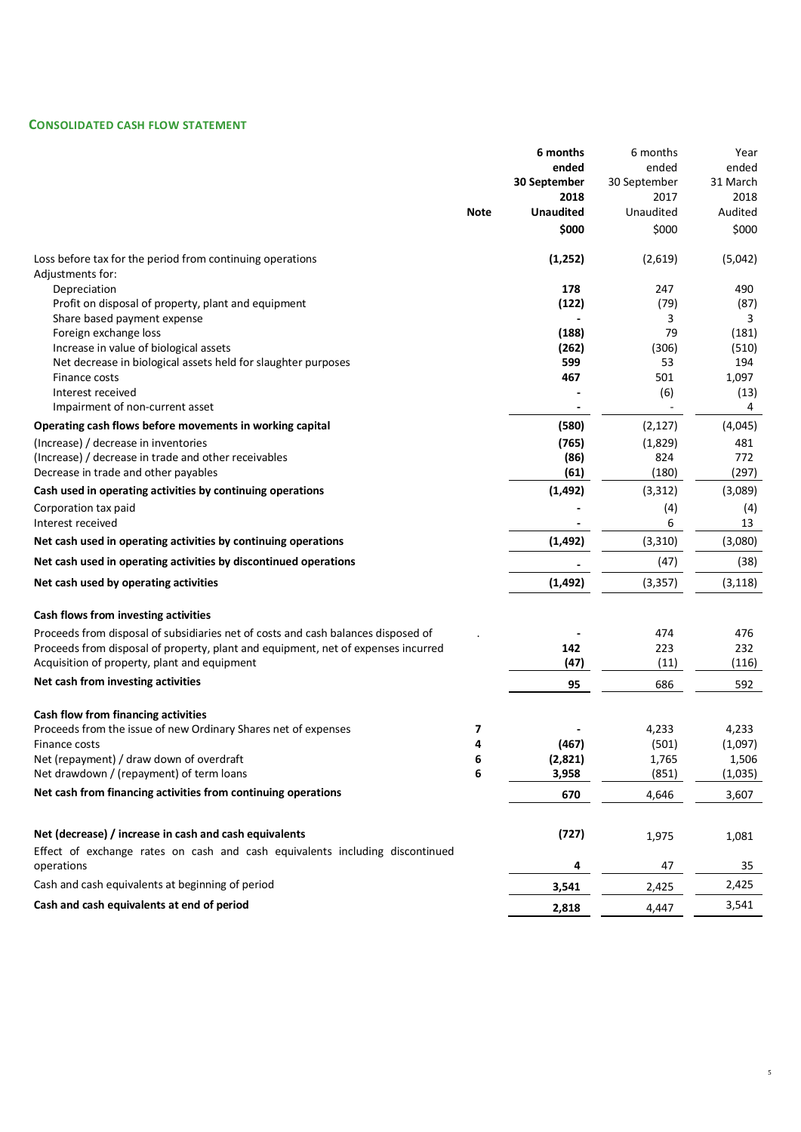## **CONSOLIDATED CASH FLOW STATEMENT**

|                                                                                            |             | 6 months         | 6 months       | Year     |
|--------------------------------------------------------------------------------------------|-------------|------------------|----------------|----------|
|                                                                                            |             | ended            | ended          | ended    |
|                                                                                            |             | 30 September     | 30 September   | 31 March |
|                                                                                            |             | 2018             | 2017           | 2018     |
|                                                                                            | <b>Note</b> | <b>Unaudited</b> | Unaudited      | Audited  |
|                                                                                            |             | \$000            | \$000          | \$000    |
| Loss before tax for the period from continuing operations                                  |             | (1, 252)         | (2,619)        | (5,042)  |
| Adjustments for:                                                                           |             |                  |                |          |
| Depreciation                                                                               |             | 178              | 247            | 490      |
| Profit on disposal of property, plant and equipment                                        |             | (122)            | (79)           | (87)     |
| Share based payment expense                                                                |             |                  | 3              | 3        |
| Foreign exchange loss                                                                      |             | (188)            | 79             | (181)    |
| Increase in value of biological assets                                                     |             | (262)            | (306)          | (510)    |
| Net decrease in biological assets held for slaughter purposes                              |             | 599              | 53             | 194      |
| Finance costs                                                                              |             | 467              | 501            | 1,097    |
| Interest received                                                                          |             |                  | (6)            | (13)     |
| Impairment of non-current asset                                                            |             |                  | $\blacksquare$ | 4        |
| Operating cash flows before movements in working capital                                   |             | (580)            | (2, 127)       | (4,045)  |
| (Increase) / decrease in inventories                                                       |             | (765)            | (1,829)        | 481      |
| (Increase) / decrease in trade and other receivables                                       |             | (86)             | 824            | 772      |
| Decrease in trade and other payables                                                       |             | (61)             | (180)          | (297)    |
| Cash used in operating activities by continuing operations                                 |             | (1, 492)         | (3,312)        | (3,089)  |
| Corporation tax paid                                                                       |             |                  | (4)            | (4)      |
| Interest received                                                                          |             |                  | 6              | 13       |
| Net cash used in operating activities by continuing operations                             |             | (1, 492)         | (3, 310)       | (3,080)  |
| Net cash used in operating activities by discontinued operations                           |             |                  | (47)           | (38)     |
| Net cash used by operating activities                                                      |             | (1, 492)         | (3, 357)       | (3, 118) |
| Cash flows from investing activities                                                       |             |                  |                |          |
| Proceeds from disposal of subsidiaries net of costs and cash balances disposed of          |             |                  | 474            | 476      |
| Proceeds from disposal of property, plant and equipment, net of expenses incurred          |             | 142              | 223            | 232      |
| Acquisition of property, plant and equipment                                               |             | (47)             | (11)           | (116)    |
| Net cash from investing activities                                                         |             | 95               | 686            | 592      |
|                                                                                            |             |                  |                |          |
| Cash flow from financing activities                                                        |             |                  |                |          |
| Proceeds from the issue of new Ordinary Shares net of expenses                             | 7           |                  | 4,233          | 4,233    |
| Finance costs                                                                              | 4           | (467)            | (501)          | (1,097)  |
| Net (repayment) / draw down of overdraft                                                   | 6           | (2,821)          | 1,765          | 1,506    |
| Net drawdown / (repayment) of term loans                                                   | 6           | 3,958            | (851)          | (1,035)  |
| Net cash from financing activities from continuing operations                              |             | 670              | 4,646          | 3,607    |
|                                                                                            |             |                  |                |          |
| Net (decrease) / increase in cash and cash equivalents                                     |             | (727)            | 1,975          | 1,081    |
| Effect of exchange rates on cash and cash equivalents including discontinued<br>operations |             | 4                | 47             | 35       |
| Cash and cash equivalents at beginning of period                                           |             | 3,541            | 2,425          | 2,425    |
| Cash and cash equivalents at end of period                                                 |             | 2,818            | 4,447          | 3,541    |
|                                                                                            |             |                  |                |          |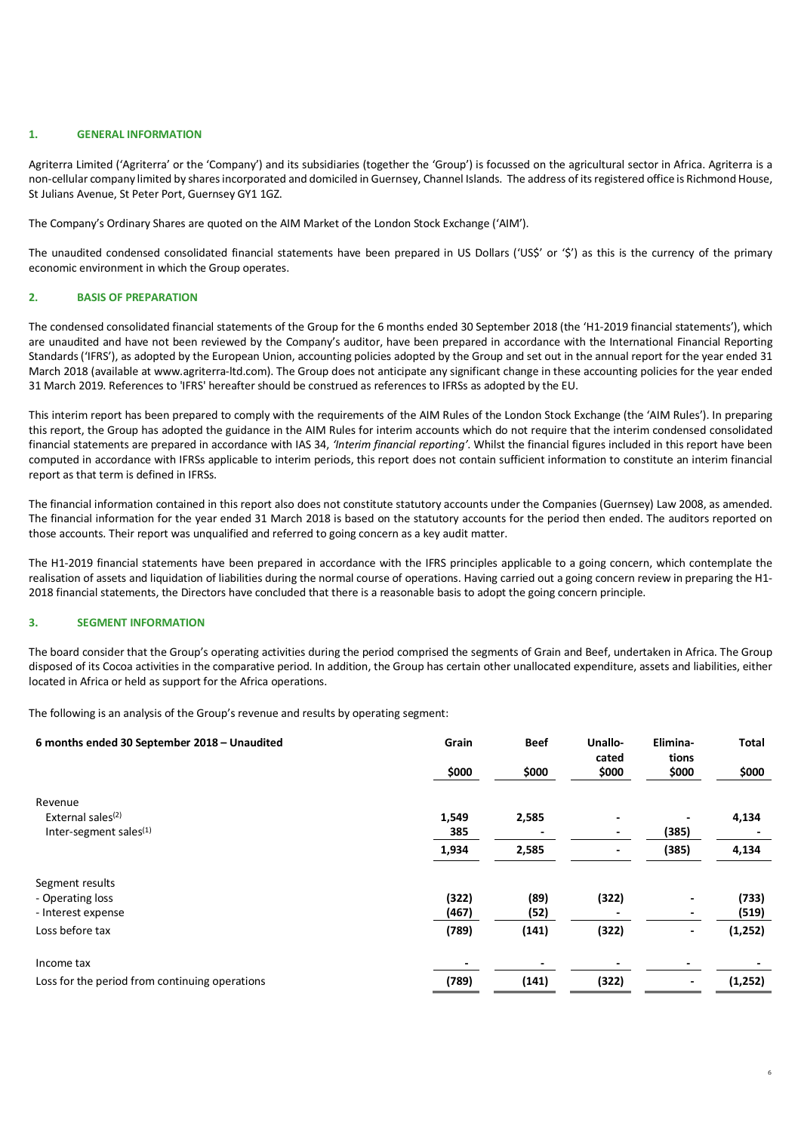## **1. GENERAL INFORMATION**

Agriterra Limited ('Agriterra' or the 'Company') and its subsidiaries (together the 'Group') is focussed on the agricultural sector in Africa. Agriterra is a non-cellular company limited by shares incorporated and domiciled in Guernsey, Channel Islands. The address of its registered office is Richmond House, St Julians Avenue, St Peter Port, Guernsey GY1 1GZ.

The Company's Ordinary Shares are quoted on the AIM Market of the London Stock Exchange ('AIM').

The unaudited condensed consolidated financial statements have been prepared in US Dollars ('US\$' or '\$') as this is the currency of the primary economic environment in which the Group operates.

### **2. BASIS OF PREPARATION**

The condensed consolidated financial statements of the Group for the 6 months ended 30 September 2018 (the 'H1-2019 financial statements'), which are unaudited and have not been reviewed by the Company's auditor, have been prepared in accordance with the International Financial Reporting Standards ('IFRS'), as adopted by the European Union, accounting policies adopted by the Group and set out in the annual report for the year ended 31 March 2018 (available at www.agriterra-ltd.com). The Group does not anticipate any significant change in these accounting policies for the year ended 31 March 2019. References to 'IFRS' hereafter should be construed as references to IFRSs as adopted by the EU.

This interim report has been prepared to comply with the requirements of the AIM Rules of the London Stock Exchange (the 'AIM Rules'). In preparing this report, the Group has adopted the guidance in the AIM Rules for interim accounts which do not require that the interim condensed consolidated financial statements are prepared in accordance with IAS 34, *'Interim financial reporting'*. Whilst the financial figures included in this report have been computed in accordance with IFRSs applicable to interim periods, this report does not contain sufficient information to constitute an interim financial report as that term is defined in IFRSs.

The financial information contained in this report also does not constitute statutory accounts under the Companies (Guernsey) Law 2008, as amended. The financial information for the year ended 31 March 2018 is based on the statutory accounts for the period then ended. The auditors reported on those accounts. Their report was unqualified and referred to going concern as a key audit matter.

The H1-2019 financial statements have been prepared in accordance with the IFRS principles applicable to a going concern, which contemplate the realisation of assets and liquidation of liabilities during the normal course of operations. Having carried out a going concern review in preparing the H1- 2018 financial statements, the Directors have concluded that there is a reasonable basis to adopt the going concern principle.

### <span id="page-5-0"></span>**3. SEGMENT INFORMATION**

The board consider that the Group's operating activities during the period comprised the segments of Grain and Beef, undertaken in Africa. The Group disposed of its Cocoa activities in the comparative period. In addition, the Group has certain other unallocated expenditure, assets and liabilities, either located in Africa or held as support for the Africa operations.

The following is an analysis of the Group's revenue and results by operating segment:

| 6 months ended 30 September 2018 - Unaudited   | Grain<br>\$000 | <b>Beef</b><br>\$000 | Unallo-<br>cated<br>\$000 | Elimina-<br>tions<br>\$000 | <b>Total</b><br>\$000 |
|------------------------------------------------|----------------|----------------------|---------------------------|----------------------------|-----------------------|
| Revenue                                        |                |                      |                           |                            |                       |
| External sales <sup>(2)</sup>                  | 1,549          | 2,585                |                           |                            | 4,134                 |
| Inter-segment sales <sup>(1)</sup>             | 385            |                      |                           | (385)                      |                       |
|                                                | 1,934          | 2,585                | $\overline{\phantom{a}}$  | (385)                      | 4,134                 |
| Segment results                                |                |                      |                           |                            |                       |
| - Operating loss                               | (322)          | (89)                 | (322)                     |                            | (733)                 |
| - Interest expense                             | (467)          | (52)                 |                           |                            | (519)                 |
| Loss before tax                                | (789)          | (141)                | (322)                     | $\overline{\phantom{a}}$   | (1, 252)              |
| Income tax                                     |                | -                    |                           |                            |                       |
| Loss for the period from continuing operations | (789)          | (141)                | (322)                     |                            | (1, 252)              |

6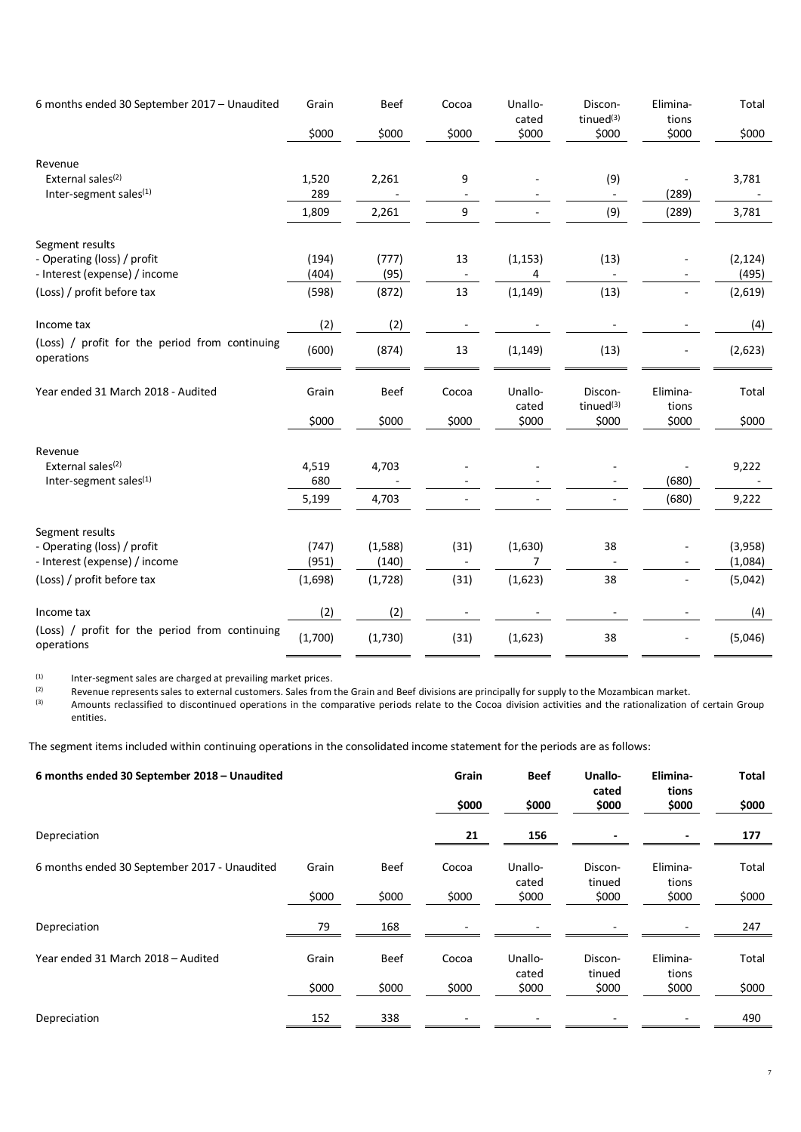| 6 months ended 30 September 2017 - Unaudited                        | Grain          | <b>Beef</b>      | Cocoa | Unallo-<br>cated | Discon-<br>tinued $(3)$ | Elimina-<br>tions            | Total              |
|---------------------------------------------------------------------|----------------|------------------|-------|------------------|-------------------------|------------------------------|--------------------|
|                                                                     | \$000          | \$000            | \$000 | \$000            | \$000                   | \$000                        | \$000              |
| Revenue                                                             |                |                  |       |                  |                         |                              |                    |
| External sales <sup>(2)</sup><br>Inter-segment sales(1)             | 1,520<br>289   | 2,261            | 9     |                  | (9)                     | (289)                        | 3,781              |
|                                                                     | 1,809          | 2,261            | 9     |                  | (9)                     | (289)                        | 3,781              |
| Segment results                                                     |                |                  |       |                  |                         |                              |                    |
| - Operating (loss) / profit<br>- Interest (expense) / income        | (194)<br>(404) | (777)<br>(95)    | 13    | (1, 153)<br>4    | (13)                    |                              | (2, 124)<br>(495)  |
| (Loss) / profit before tax                                          | (598)          | (872)            | 13    | (1, 149)         | (13)                    |                              | (2,619)            |
| Income tax                                                          | (2)            | (2)              |       |                  |                         |                              | (4)                |
| (Loss) / profit for the period from continuing<br>operations        | (600)          | (874)            | 13    | (1, 149)         | (13)                    |                              | (2,623)            |
| Year ended 31 March 2018 - Audited                                  | Grain          | <b>Beef</b>      | Cocoa | Unallo-<br>cated | Discon-<br>tinued $(3)$ | Elimina-<br>tions            | Total              |
|                                                                     | \$000          | \$000            | \$000 | \$000            | \$000                   | \$000                        | \$000              |
| Revenue                                                             |                |                  |       |                  |                         |                              |                    |
| External sales <sup>(2)</sup><br>Inter-segment sales <sup>(1)</sup> | 4,519<br>680   | 4,703            |       |                  |                         | (680)                        | 9,222              |
|                                                                     | 5,199          | 4,703            |       |                  |                         | (680)                        | 9,222              |
| Segment results                                                     |                |                  |       |                  |                         |                              |                    |
| - Operating (loss) / profit<br>- Interest (expense) / income        | (747)<br>(951) | (1,588)<br>(140) | (31)  | (1,630)<br>7     | 38                      |                              | (3,958)<br>(1,084) |
| (Loss) / profit before tax                                          | (1,698)        | (1,728)          | (31)  | (1,623)          | 38                      | $\blacksquare$               | (5,042)            |
| Income tax                                                          | (2)            | (2)              |       |                  |                         |                              | (4)                |
| (Loss) / profit for the period from continuing<br>operations        | (1,700)        | (1,730)          | (31)  | (1,623)          | 38                      | $\qquad \qquad \blacksquare$ | (5,046)            |

(1) Inter-segment sales are charged at prevailing market prices.<br>(2) Revenue represents sales to external customers. Sales from

(2) Revenue represents sales to external customers. Sales from the Grain and Beef divisions are principally for supply to the Mozambican market.

<sup>(3)</sup> Amounts reclassified to discontinued operations in the comparative periods relate to the Cocoa division activities and the rationalization of certain Group entities.

The segment items included within continuing operations in the consolidated income statement for the periods are as follows:

| 6 months ended 30 September 2018 - Unaudited |       | Grain       | <b>Beef</b> | Unallo-          | Elimina-          | <b>Total</b>      |       |
|----------------------------------------------|-------|-------------|-------------|------------------|-------------------|-------------------|-------|
|                                              |       |             | \$000       | \$000            | cated<br>\$000    | tions<br>\$000    | \$000 |
| Depreciation                                 |       |             | 21          | 156              |                   |                   | 177   |
| 6 months ended 30 September 2017 - Unaudited | Grain | <b>Beef</b> | Cocoa       | Unallo-<br>cated | Discon-<br>tinued | Elimina-<br>tions | Total |
|                                              | \$000 | \$000       | \$000       | \$000            | \$000             | \$000             | \$000 |
| Depreciation                                 | 79    | 168         |             |                  |                   |                   | 247   |
| Year ended 31 March 2018 - Audited           | Grain | <b>Beef</b> | Cocoa       | Unallo-<br>cated | Discon-<br>tinued | Elimina-<br>tions | Total |
|                                              | \$000 | \$000       | \$000       | \$000            | \$000             | \$000             | \$000 |
| Depreciation                                 | 152   | 338         |             |                  |                   |                   | 490   |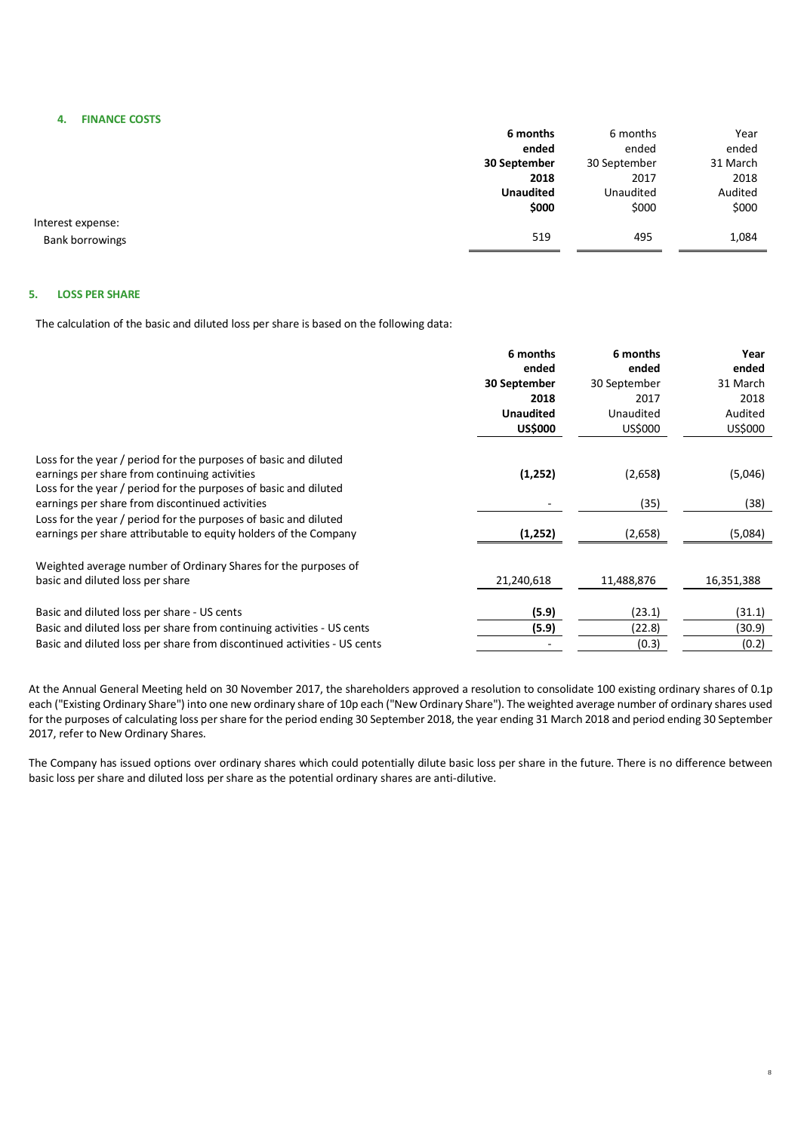**4. FINANCE COSTS**

<span id="page-7-0"></span>

|                        | 6 months         | 6 months     | Year     |
|------------------------|------------------|--------------|----------|
|                        | ended            | ended        | ended    |
|                        | 30 September     | 30 September | 31 March |
|                        | 2018             | 2017         | 2018     |
|                        | <b>Unaudited</b> | Unaudited    | Audited  |
|                        | \$000            | \$000        | \$000    |
| Interest expense:      |                  |              |          |
| <b>Bank borrowings</b> | 519              | 495          | 1,084    |

### **5. LOSS PER SHARE**

The calculation of the basic and diluted loss per share is based on the following data:

|                                                                                                                                      | 6 months         | 6 months     | Year       |
|--------------------------------------------------------------------------------------------------------------------------------------|------------------|--------------|------------|
|                                                                                                                                      | ended            | ended        | ended      |
|                                                                                                                                      | 30 September     | 30 September | 31 March   |
|                                                                                                                                      | 2018             | 2017         | 2018       |
|                                                                                                                                      | <b>Unaudited</b> | Unaudited    | Audited    |
|                                                                                                                                      | <b>US\$000</b>   | US\$000      | US\$000    |
| Loss for the year / period for the purposes of basic and diluted                                                                     |                  |              |            |
| earnings per share from continuing activities<br>Loss for the year / period for the purposes of basic and diluted                    | (1,252)          | (2,658)      | (5,046)    |
| earnings per share from discontinued activities                                                                                      |                  | (35)         | (38)       |
| Loss for the year / period for the purposes of basic and diluted<br>earnings per share attributable to equity holders of the Company | (1,252)          | (2,658)      | (5,084)    |
| Weighted average number of Ordinary Shares for the purposes of<br>basic and diluted loss per share                                   | 21,240,618       | 11,488,876   | 16,351,388 |
|                                                                                                                                      |                  |              |            |
| Basic and diluted loss per share - US cents                                                                                          | (5.9)            | (23.1)       | (31.1)     |
| Basic and diluted loss per share from continuing activities - US cents                                                               | (5.9)            | (22.8)       | (30.9)     |
| Basic and diluted loss per share from discontinued activities - US cents                                                             |                  | (0.3)        | (0.2)      |
|                                                                                                                                      |                  |              |            |

At the Annual General Meeting held on 30 November 2017, the shareholders approved a resolution to consolidate 100 existing ordinary shares of 0.1p each ("Existing Ordinary Share") into one new ordinary share of 10p each ("New Ordinary Share"). The weighted average number of ordinary shares used for the purposes of calculating loss per share for the period ending 30 September 2018, the year ending 31 March 2018 and period ending 30 September 2017, refer to New Ordinary Shares.

The Company has issued options over ordinary shares which could potentially dilute basic loss per share in the future. There is no difference between basic loss per share and diluted loss per share as the potential ordinary shares are anti-dilutive.

8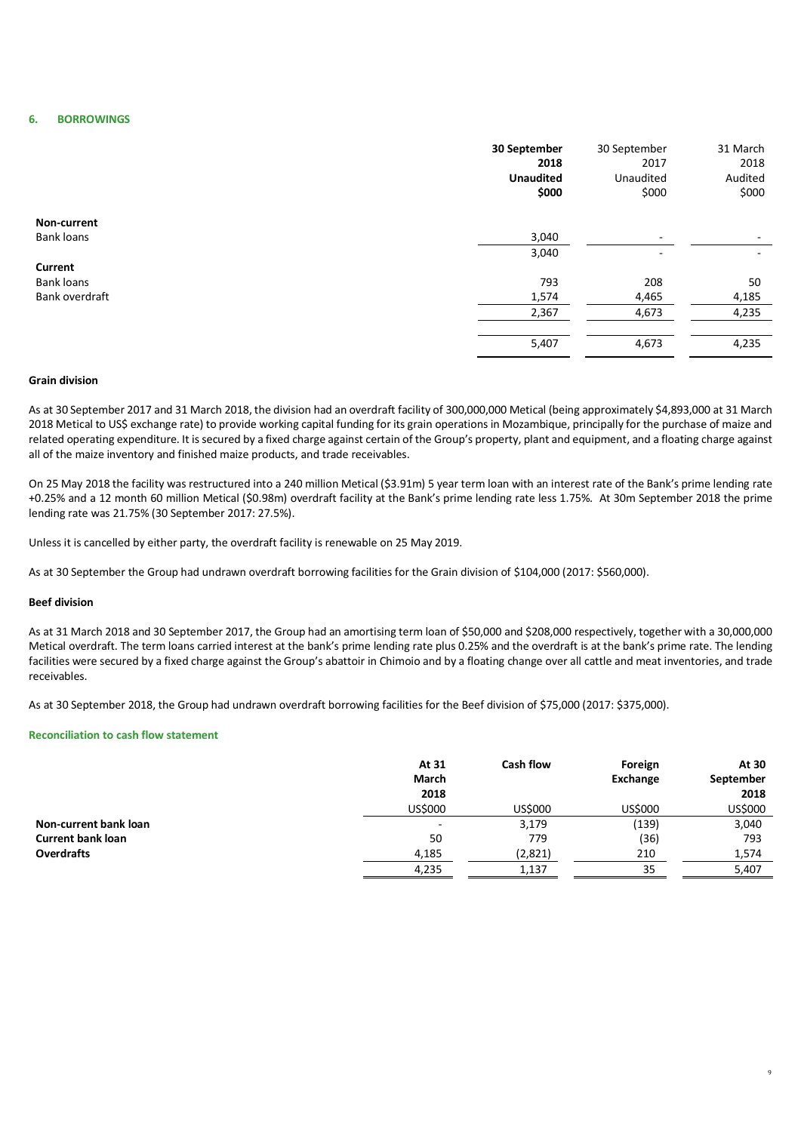### **6. BORROWINGS**

|                   | 30 September<br>2018<br><b>Unaudited</b><br>\$000 | 30 September<br>2017<br>Unaudited<br>\$000 | 31 March<br>2018<br>Audited<br>\$000 |
|-------------------|---------------------------------------------------|--------------------------------------------|--------------------------------------|
| Non-current       |                                                   |                                            |                                      |
| <b>Bank loans</b> | 3,040                                             | ٠                                          | $\overline{\phantom{a}}$             |
|                   | 3,040                                             | ۰                                          | $\overline{\phantom{a}}$             |
| Current           |                                                   |                                            |                                      |
| <b>Bank loans</b> | 793                                               | 208                                        | 50                                   |
| Bank overdraft    | 1,574                                             | 4,465                                      | 4,185                                |
|                   | 2,367                                             | 4,673                                      | 4,235                                |
|                   |                                                   |                                            |                                      |
|                   | 5,407                                             | 4,673                                      | 4,235                                |

## **Grain division**

As at 30 September 2017 and 31 March 2018, the division had an overdraft facility of 300,000,000 Metical (being approximately \$4,893,000 at 31 March 2018 Metical to US\$ exchange rate) to provide working capital funding for its grain operations in Mozambique, principally for the purchase of maize and related operating expenditure. It is secured by a fixed charge against certain of the Group's property, plant and equipment, and a floating charge against all of the maize inventory and finished maize products, and trade receivables.

On 25 May 2018 the facility was restructured into a 240 million Metical (\$3.91m) 5 year term loan with an interest rate of the Bank's prime lending rate +0.25% and a 12 month 60 million Metical (\$0.98m) overdraft facility at the Bank's prime lending rate less 1.75%. At 30m September 2018 the prime lending rate was 21.75% (30 September 2017: 27.5%).

Unless it is cancelled by either party, the overdraft facility is renewable on 25 May 2019.

As at 30 September the Group had undrawn overdraft borrowing facilities for the Grain division of \$104,000 (2017: \$560,000).

### **Beef division**

As at 31 March 2018 and 30 September 2017, the Group had an amortising term loan of \$50,000 and \$208,000 respectively, together with a 30,000,000 Metical overdraft. The term loans carried interest at the bank's prime lending rate plus 0.25% and the overdraft is at the bank's prime rate. The lending facilities were secured by a fixed charge against the Group's abattoir in Chimoio and by a floating change over all cattle and meat inventories, and trade receivables.

As at 30 September 2018, the Group had undrawn overdraft borrowing facilities for the Beef division of \$75,000 (2017: \$375,000).

#### **Reconciliation to cash flow statement**

|                          | At 31<br>March | <b>Cash flow</b> | Foreign<br>Exchange | At 30<br>September |
|--------------------------|----------------|------------------|---------------------|--------------------|
|                          | 2018           |                  |                     | 2018               |
|                          | US\$000        | US\$000          | US\$000             | US\$000            |
| Non-current bank loan    | <b>-</b>       | 3,179            | (139)               | 3,040              |
| <b>Current bank loan</b> | 50             | 779              | (36)                | 793                |
| <b>Overdrafts</b>        | 4,185          | (2,821)          | 210                 | 1,574              |
|                          | 4,235          | 1,137            | 35                  | 5,407              |